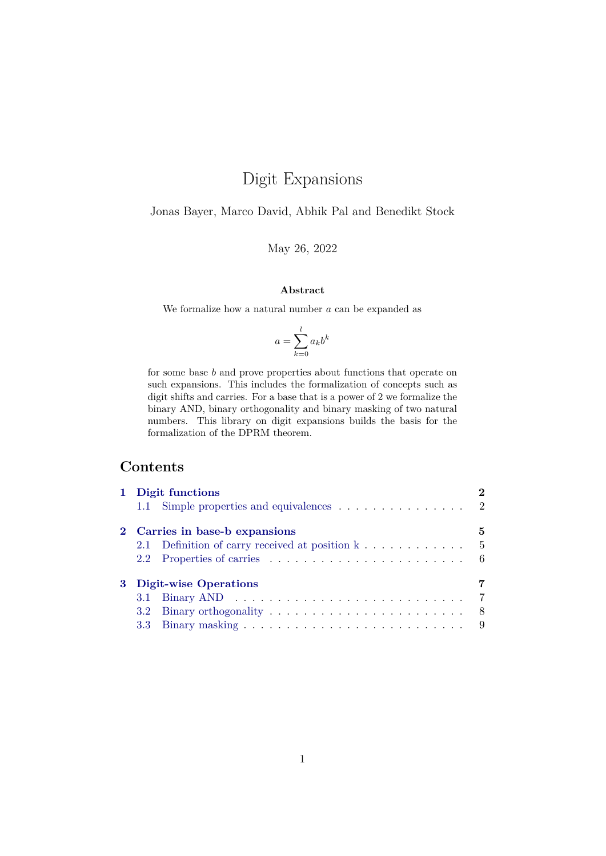# Digit Expansions

Jonas Bayer, Marco David, Abhik Pal and Benedikt Stock

May 26, 2022

#### **Abstract**

We formalize how a natural number  $a$  can be expanded as

$$
a = \sum_{k=0}^{l} a_k b^k
$$

for some base b and prove properties about functions that operate on such expansions. This includes the formalization of concepts such as digit shifts and carries. For a base that is a power of 2 we formalize the binary AND, binary orthogonality and binary masking of two natural numbers. This library on digit expansions builds the basis for the formalization of the DPRM theorem.

## **Contents**

|  | 1 Digit functions                                                          |   |
|--|----------------------------------------------------------------------------|---|
|  | 1.1 Simple properties and equivalences 2                                   |   |
|  | 2 Carries in base-b expansions                                             | 5 |
|  | 2.1 Definition of carry received at position $k \dots \dots \dots \dots$ 5 |   |
|  |                                                                            |   |
|  | 3 Digit-wise Operations                                                    |   |
|  |                                                                            |   |
|  | 3.2 <sub>1</sub>                                                           |   |
|  |                                                                            |   |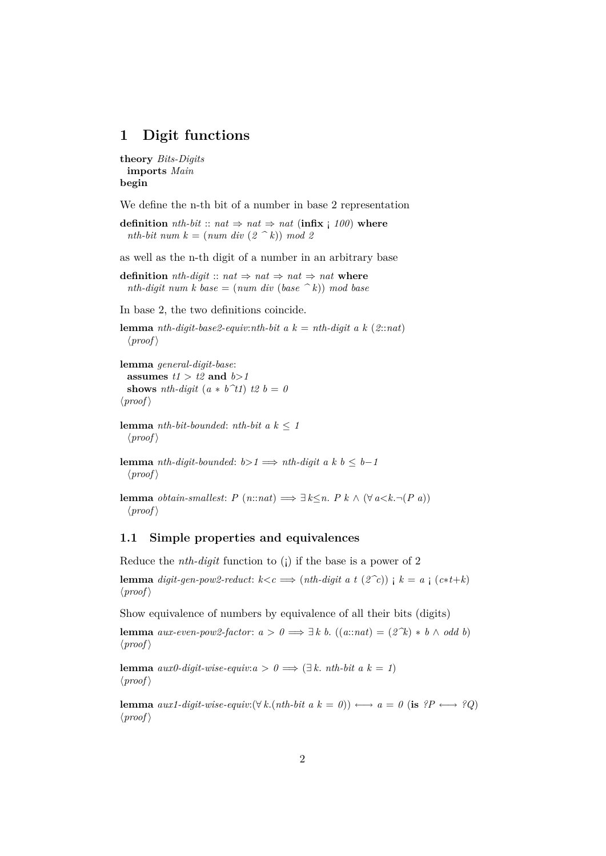### <span id="page-1-0"></span>**1 Digit functions**

```
theory Bits-Digits
 imports Main
begin
```
We define the n-th bit of a number in base 2 representation

**definition** *nth-bit* :: *nat*  $\Rightarrow$  *nat*  $\Rightarrow$  *nat* (**infix** ; 100) **where** *nth-bit num k* =  $(num \ div (2 \ ^k)) \ mod 2$ 

as well as the n-th digit of a number in an arbitrary base

**definition** *nth-digit* ::  $nat \Rightarrow nat \Rightarrow nat \Rightarrow nat$ *nth-digit num k base* =  $(num \ div (base \n k)) \ mod \ base$ 

In base 2, the two definitions coincide.

```
lemma nth-digit-base2-equiv:nth-bit a k = nth-digit a k (2:nat)
  \langle proof \rangle
```

```
lemma general-digit-base:
 assumes t1 > t2 and b>1shows nth-digit (a * b^t1) t2 b = 0\langle proof \rangle
```

```
lemma nth-bit-bounded: nth-bit a k \leq 1\langle proof \rangle
```

```
lemma nth-digit-bounded: b > 1 \implies nth\text{-}digit\ a\ k\ b \leq b-1\langle proof \rangle
```
**lemma** *obtain-smallest: P* (*n*::*nat*)  $\implies$  ∃  $k \leq n$ . *P*  $k \wedge (\forall a \leq k \neg (P \ a))$  $\langle proof \rangle$ 

#### <span id="page-1-1"></span>**1.1 Simple properties and equivalences**

Reduce the *nth-digit* function to (¡) if the base is a power of 2

**lemma** *digit-gen-pow2-reduct*:  $k < c \implies (nth\text{-}digit\ a\ t\ (2\text{-}c))\ i\ k = a\ i\ (c*t+k)$  $\langle proof \rangle$ 

Show equivalence of numbers by equivalence of all their bits (digits)

**lemma** *aux-even-pow2-factor*:  $a > 0 \implies \exists k \ b$ . (( $a$ ::*nat*) =  $(2^k) * b \land \text{odd } b$ )  $\langle proof \rangle$ 

**lemma**  $aux0$ -digit-wise-equiv: $a > 0 \implies (\exists k. nth-bit a k = 1)$  $\langle proof \rangle$ 

**lemma**  $aux1\text{-}digit\text{-}wise\text{-}equiv: (\forall k.(nth\text{-}bit \ a \ k = 0)) \longleftrightarrow a = 0 \ (\text{is } ?P \longleftrightarrow ?Q)$  $\langle proof \rangle$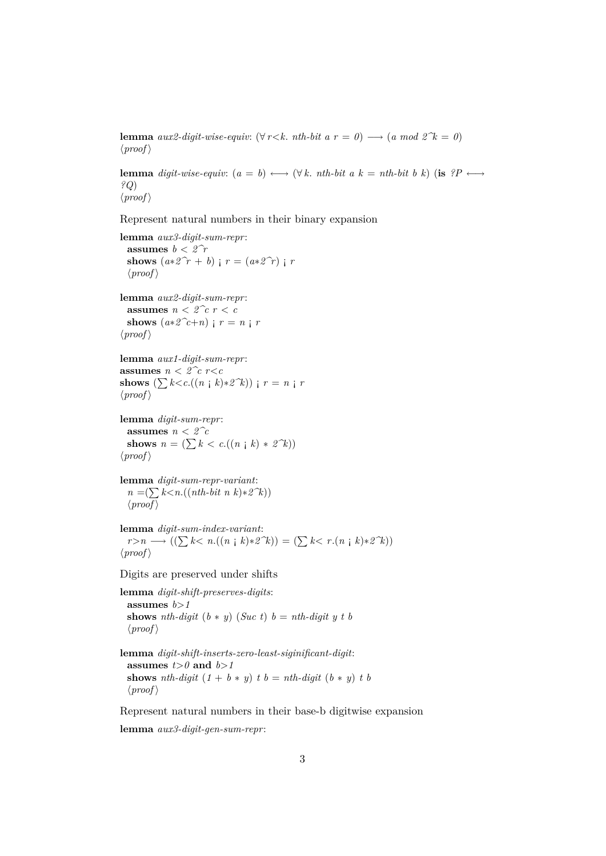**lemma**  $aux2\text{-}digit\text{-}wise\text{-}equiv: (\forall r < k, nth\text{-}bit \text{ a } r = 0) \longrightarrow (a \text{ mod } 2^k = 0)$  $\langle proof \rangle$ 

**lemma** *digit-wise-equiv:*  $(a = b) \longleftrightarrow (\forall k. nth-bit a k = nth-bit b k)$  (**is**  $?P \longleftrightarrow$ *?Q*)  $\langle proof \rangle$ 

Represent natural numbers in their binary expansion

```
lemma aux3-digit-sum-repr:
 assumes b < 2\hat{r}shows (a * 2^r r + b) ; r = (a * 2^r r) ; r
  \langle proof \ranglelemma aux2-digit-sum-repr:
 assumes n < 2^c c r < cshows (a * 2^c t + n) ; r = n ; r
```

```
\langle proof \rangle
```

```
lemma aux1-digit-sum-repr:
assumes n < 2^c c r<c
shows (\sum k < c \cdot ((n \neq k) * 2^k)) ; r = n \neq r\langle proof \rangle
```
**lemma** *digit-sum-repr*: **assumes**  $n < 2^c c$ **shows**  $n = (\sum k < c.((n \cdot k) * 2^k))$  $\langle proof \rangle$ 

**lemma** *digit-sum-repr-variant*: *n* =( $∑ k < n.((nth-bit n k)*2^k))$  $\langle proof \rangle$ 

**lemma** *digit-sum-index-variant*: *r*>*n* → (( $\sum k$ < *n*.((*n* **;** *k*)\*2^k)) = ( $\sum k$ < *r*.(*n* **;** *k*)\*2^k))  $\langle proof \rangle$ 

Digits are preserved under shifts

**lemma** *digit-shift-preserves-digits*: **assumes** *b*>*1* **shows** *nth-digit*  $(b * y)$  (*Suc t*)  $b = nth\text{-}digit\ y\ t\ b$  $\langle proof \rangle$ 

**lemma** *digit-shift-inserts-zero-least-siginificant-digit*: **assumes**  $t>0$  **and**  $b>1$ **shows** *nth-digit*  $(1 + b * y)$  *t*  $b = nth-digit (b * y)$  *t*  $b$  $\langle proof \rangle$ 

Represent natural numbers in their base-b digitwise expansion

**lemma** *aux3-digit-gen-sum-repr*: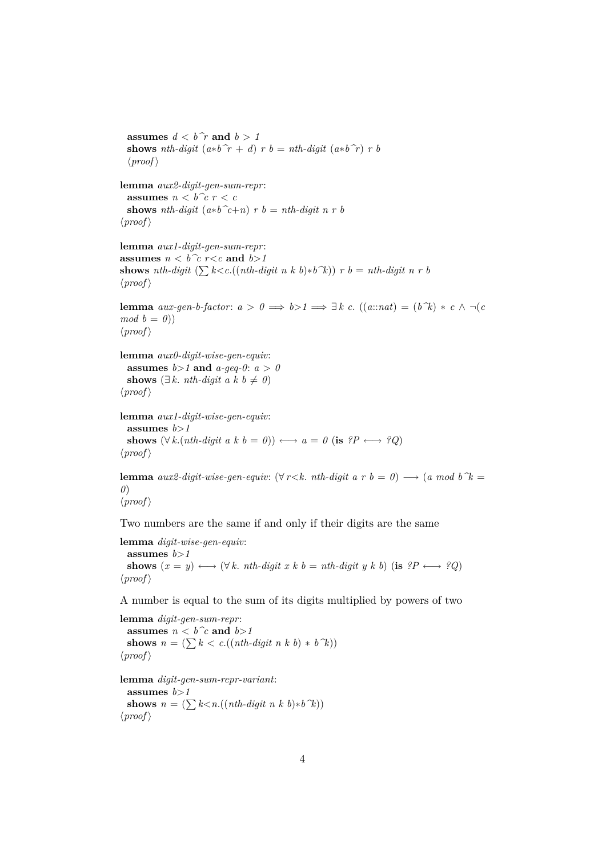**shows** *nth-digit*  $(a * b^r + d)$  *r*  $b = nth-digit (a * b^r)$  *r*  $b$  $\langle proof \rangle$ **lemma** *aux2-digit-gen-sum-repr*: **assumes**  $n < b^c c$   $r < c$ **shows** *nth-digit*  $(a * b^c + n)$  *r b* = *nth-digit n r b*  $\langle proof \rangle$ **lemma** *aux1-digit-gen-sum-repr*: **assumes**  $n < b$  <sup>2</sup>*c*  $r < c$  **and**  $b > 1$ **shows** *nth-digit*  $(\sum k < c \cdot ((nth\text{-}digit \ n \ k \ b) * b^k)) \ r \ b = nth\text{-}digit \ n \ r \ b$  $\langle proof \rangle$ **lemma** *aux-gen-b-factor*:  $a > 0 \implies b > 1 \implies \exists k \ c$ .  $((a::nat) = (b \ \hat{k}) * c \land \neg(c)$  $mod b = 0$ )  $\langle proof \rangle$ **lemma** *aux0-digit-wise-gen-equiv*: **assumes**  $b > 1$  **and**  $a$ -geq-0:  $a > 0$ **shows** ( $\exists k$ . *nth-digit a k b*  $\neq 0$ *)*  $\langle proof \rangle$ **lemma** *aux1-digit-wise-gen-equiv*: assumes  $b > 1$ **shows**  $(\forall k.(nth\text{-}digit a k b = 0)) \longleftrightarrow a = 0$  (**is**  $?P \longleftrightarrow ?Q$ )  $\langle proof \rangle$ **lemma**  $aux2\text{-}digit\text{-}wise\text{-}gen\text{-}equiv: (\forall r < k. nth\text{-}digit\text{ }a\text{ }r\text{ }b = 0) \longrightarrow (a\text{ }mod\text{ }b\text{ }k = 0)$ *0*)

```
\langle proof \rangle
```
**assumes**  $d < b\hat{r}$  **and**  $b > 1$ 

Two numbers are the same if and only if their digits are the same

**lemma** *digit-wise-gen-equiv*: **assumes** *b*>*1* shows  $(x = y) \longleftrightarrow (\forall k \cdot nh \cdot digit \; x \; k \; b = nth \cdot digit \; y \; k \; b)$  (**is**  $?P \longleftrightarrow ?Q$ )  $\langle proof \rangle$ 

A number is equal to the sum of its digits multiplied by powers of two

```
lemma digit-gen-sum-repr:
 assumes n < b^c and b > 1shows n = (\sum k < c \cdot ((nth\text{-}digit\ n\ k\ b) * b\ \hat{k}))\langle proof \ranglelemma digit-gen-sum-repr-variant:
 assumes b>1
 shows n = (\sum k < n.((nth-digit n k b)*b^k))
```

```
\langle proof \rangle
```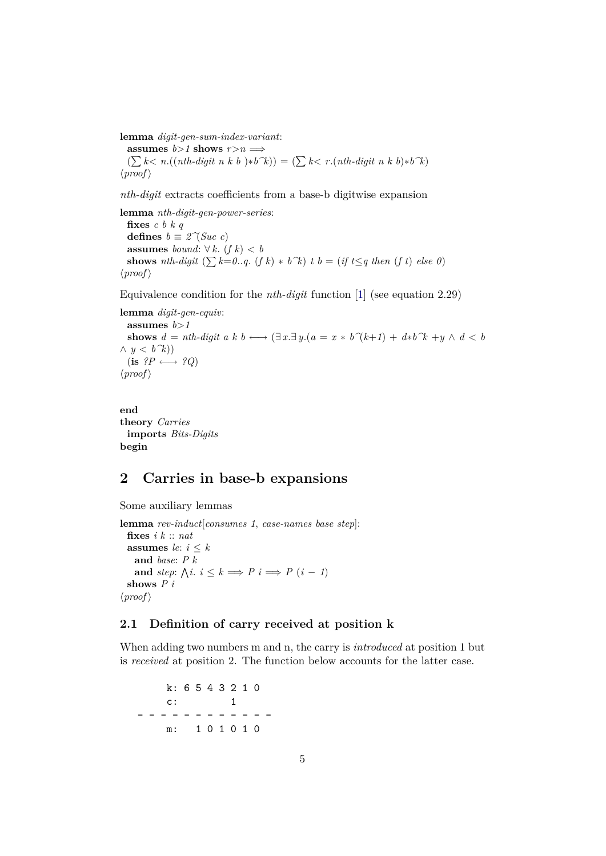**lemma** *digit-gen-sum-index-variant*: **assumes**  $b>1$  **shows**  $r>n \implies$  $(\sum k < n.((nth-digit n k b) * b^k)) = (\sum k < r. (nth-digit n k b) * b^k)$ 

 $\langle proof \rangle$ 

*nth-digit* extracts coefficients from a base-b digitwise expansion

**lemma** *nth-digit-gen-power-series*: **fixes** *c b k q* **defines**  $b \equiv 2^{\gamma}(Suc \ c)$ **assumes** *bound*:  $\forall k. (f k) < b$ **shows** *nth-digit*  $(\sum k=0..q, (f k) * b^k)$  *t b* = (*if t*≤*q then* (*f t*) *else* 0)  $\langle proof \rangle$ 

Equivalence condition for the *nth-digit* function [\[1\]](#page-10-0) (see equation 2.29)

**lemma** *digit-gen-equiv*: assumes  $b > 1$ **shows**  $d = nth\text{-}digit\ a\ k\ b \longleftrightarrow (\exists\ x.\exists\ y.(a = x * b^(k+1) + d*b^k + y \land d < b$  $\wedge$  *y* < *b*<sup> $\wedge$ </sup>*k*))  $(i\mathbf{s} \ \ ?P \longleftrightarrow \ \ ?Q)$  $\langle proof \rangle$ 

**end theory** *Carries* **imports** *Bits-Digits* **begin**

## <span id="page-4-0"></span>**2 Carries in base-b expansions**

```
Some auxiliary lemmas
```

```
lemma rev-induct[consumes 1, case-names base step]:
  fixes i k :: nat
 assumes le: i \leq kand base: P k
    and step: \bigwedge i : i \leq k \implies P \quad i \implies P \quad (i-1)shows P i
\langle proof \rangle
```
#### <span id="page-4-1"></span>**2.1 Definition of carry received at position k**

When adding two numbers m and n, the carry is *introduced* at position 1 but is *received* at position 2. The function below accounts for the latter case.

k: 6 5 4 3 2 1 0 c: 1 - - - - - - - - - - - m: 1 0 1 0 1 0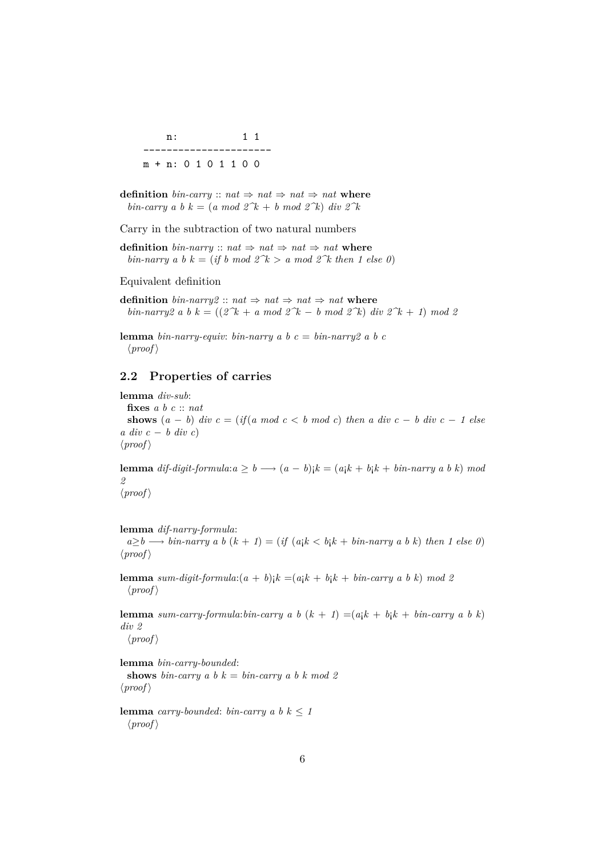n: 1 1 --------------------- m + n: 0 1 0 1 1 0 0

**definition** *bin-carry* ::  $nat \Rightarrow nat \Rightarrow nat \Rightarrow nat$ *bin-carry a b*  $k = (a \mod 2^k + b \mod 2^k)$  *div*  $2^k$ 

Carry in the subtraction of two natural numbers

**definition** *bin-narry* ::  $nat \Rightarrow nat \Rightarrow nat \Rightarrow nat$ *bin-narry a b k* = (*if b mod 2<sup>* $\kappa$ *</sup> > <i>a mod 2* $\kappa$  *then 1 else 0*)

Equivalent definition

**definition**  $\text{bin-narry2}$  ::  $\text{nat} \Rightarrow \text{nat} \Rightarrow \text{nat} \Rightarrow \text{nat} \text{ where}$ *bin-narry2 a b k* =  $((2^k + a \mod 2^k - b \mod 2^k) \text{ div } 2^k + 1) \mod 2$ 

**lemma** *bin-narry-equiv: bin-narry a b*  $c = bin-narry2$  *a b c*  $\langle proof \rangle$ 

#### <span id="page-5-0"></span>**2.2 Properties of carries**

**lemma** *div-sub*: **fixes** *a b c* :: *nat* **shows**  $(a - b)$  *div*  $c = (if(a \mod c < b \mod c)$  *then a div*  $c - b$  *div*  $c - 1$  *else a div c* − *b div c*)  $\langle proof \rangle$ 

**lemma** *dif-digit-formula*: $a \geq b \longrightarrow (a - b)$ ; $k = (a_1 k + b_1 k + b_1 n - n \cdot a_n n \cdot b)$  mod *2*  $\langle proof \rangle$ 

**lemma** *dif-narry-formula*:

 $a \geq b \longrightarrow bin\text{-}narry a\ b\ (k + 1) = (if\ (a_1 k < b_1 k + bin\text{-}narry a\ b\ k) then\ 1\ else\ 0)$  $\langle proof \rangle$ 

**lemma** *sum-digit-formula:* $(a + b)$ <sub>i</sub> $k = (a_1k + b_1k + bin-carry \ a \ b \ k) \mod 2$  $\langle proof \rangle$ 

**lemma** *sum-carry-formula:bin-carry a b*  $(k + 1) = (a_1 k + b_1 k + b_2 n - c_3 n)$  *k*) *div 2*

 $\langle proof \rangle$ 

**lemma** *bin-carry-bounded*: **shows** *bin-carry* a *b*  $k = bin-carry a b k mod 2$  $\langle proof \rangle$ 

**lemma** *carry-bounded*: *bin-carry a b*  $k \leq 1$  $\langle proof \rangle$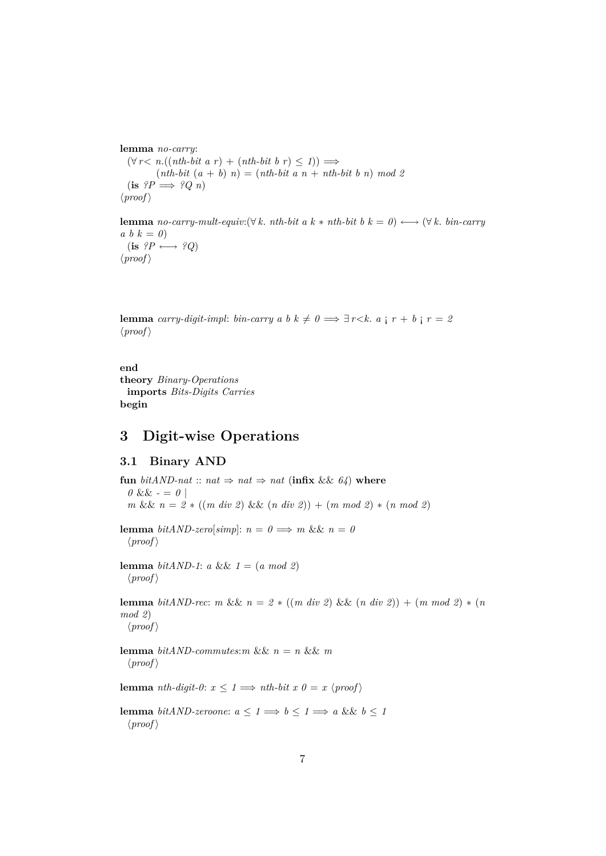**lemma** *no-carry*:  $(\forall r < n.((nth-bit a r) + (nth-bit b r) \leq 1)) \Longrightarrow$  $(nth-bit (a + b) n) = (nth-bit a n + nth-bit b n) mod 2$  $(\mathbf{is} \ \mathbf{?P} \Longrightarrow \mathbf{?Q} \ n)$  $\langle proof \rangle$ 

**lemma** *no-carry-mult-equiv:*( $\forall k$ . *nth-bit a*  $k * nth-bit b$   $k = 0$ )  $\longleftrightarrow$  ( $\forall k$ . *bin-carry*  $a \ b \ k = 0$  $(i\mathbf{s} \ \ ?P \longleftrightarrow \ ^{9}Q)$  $\langle proof \rangle$ 

**lemma** *carry-digit-impl: bin-carry a b k*  $\neq 0 \implies \exists r \leq k$ *. a*  $\mid r + b \mid r = 2$  $\langle proof \rangle$ 

**end theory** *Binary-Operations* **imports** *Bits-Digits Carries* **begin**

#### <span id="page-6-0"></span>**3 Digit-wise Operations**

#### <span id="page-6-1"></span>**3.1 Binary AND**

**fun** *bitAND-nat* :: *nat*  $\Rightarrow$  *nat*  $\Rightarrow$  *nat* (**infix** && 64) **where**  $0 \&\& -\frac{1}{2}$ *m* && *n* = *2* ∗ ((*m div 2*) && (*n div 2*)) + (*m mod 2*) ∗ (*n mod 2*) **lemma** *bitAND-zero*[*simp*]:  $n = 0 \implies m \&\&\ n = 0$  $\langle proof \rangle$ **lemma** *bitAND-1*: *a* &&  $1 = (a \mod 2)$  $\langle proof \rangle$ **lemma** *bitAND-rec*: *m* &&  $n = 2 * ((m \ div 2) \ & (n \ div 2)) + (m \ mod 2) * (n \$ *mod 2*)  $\langle proof \rangle$ **lemma** *bitAND-commutes:m* &&  $n = n$  &&  $m$  $\langle proof \rangle$ **lemma** *nth-digit-0*:  $x \leq 1 \implies nth\text{-}bit \ x \ 0 = x \ \langle proof \rangle$ **lemma** *bitAND-zeroone*:  $a \leq 1 \implies b \leq 1 \implies a \&\& b \leq 1$  $\langle proof \rangle$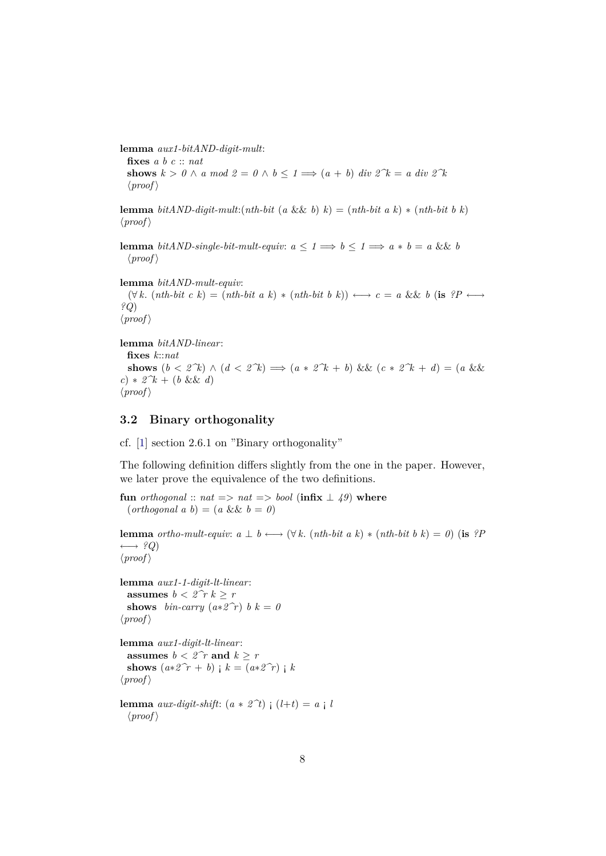**lemma** *aux1-bitAND-digit-mult*: **fixes** *a b c* :: *nat* **shows**  $k > 0 \land a \mod 2 = 0 \land b \leq 1 \Longrightarrow (a + b) \text{ div } 2^k = a \text{ div } 2^k$  $\langle proof \rangle$ 

**lemma** *bitAND-digit-mult*: $(nth-bit (a \&& b) k) = (nth-bit (a k) * (nth-bit (b k))$  $\langle proof \rangle$ 

**lemma** *bitAND-single-bit-mult-equiv:*  $a \leq 1 \implies b \leq 1 \implies a * b = a \&\& b$  $\langle proof \rangle$ 

**lemma** *bitAND-mult-equiv*:  $(\forall k. (nth-bit \ c \ k) = (nth-bit \ a \ k) * (nth-bit \ b \ k)) \longleftrightarrow c = a \ \&\& \ b \ (is \ \ ?P \longleftrightarrow$ *?Q*)  $\langle proof \rangle$ 

```
lemma bitAND-linear:
```
**fixes** *k*::*nat* **shows**  $(b < 2^k)$  ∧  $(d < 2^k)$   $\implies$   $(a * 2^k + b)$  &&  $(c * 2^k + d) = (a \&&$ *c*) ∗ *2^k* + (*b* && *d*)  $\langle proof \rangle$ 

#### <span id="page-7-0"></span>**3.2 Binary orthogonality**

cf. [\[1\]](#page-10-0) section 2.6.1 on "Binary orthogonality"

The following definition differs slightly from the one in the paper. However, we later prove the equivalence of the two definitions.

**fun** *orthogonal* ::  $nat \implies nat \implies bool$  (infix  $\perp$  49) where  $(\text{orthogonal } a \ b) = (a \ \&\ \& \ b = 0)$ 

**lemma** *ortho-mult-equiv:*  $a \perp b \longleftrightarrow (\forall k. (nth-bit \ a \ k) * (nth-bit \ b \ k) = 0)$  (**is** *?P*  $\longleftrightarrow$  ?Q)  $\langle proof \rangle$ 

```
lemma aux1-1-digit-lt-linear:
 assumes b < 2\hat{r} k > rshows bin-carry (a * 2^r r) b k = 0\langle proof \rangle
```
**lemma** *aux1-digit-lt-linear*: **assumes**  $b < 2\hat{r}$  **and**  $k \geq r$ **shows**  $(a * 2^r r + b)$  ;  $k = (a * 2^r r)$  ; k  $\langle proof \rangle$ 

```
lemma aux-digit-shift: (a * 2^t) (1+t) = a \cdot l\langle proof \rangle
```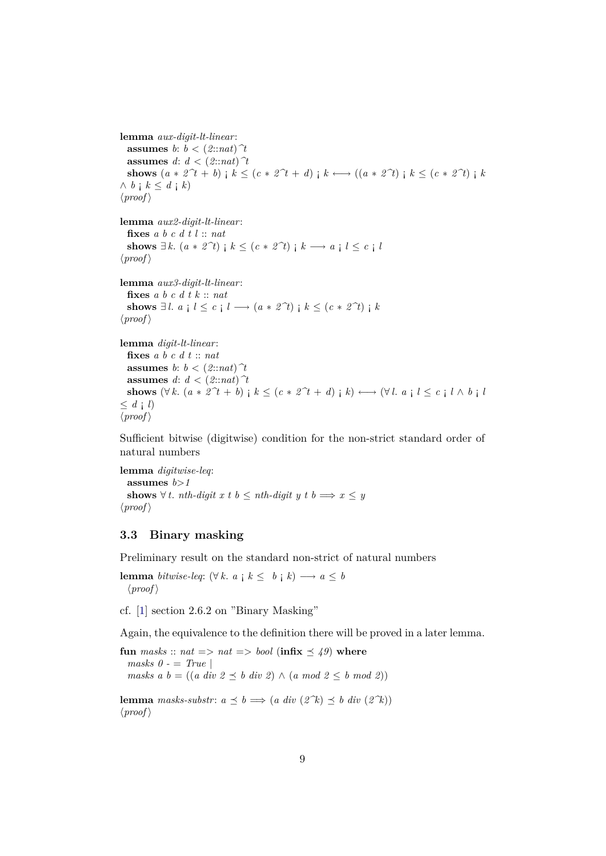**lemma** *aux-digit-lt-linear*: **assumes** *b*:  $b < (2$ ::*nat*)  $\hat{\tau}$ **assumes**  $d: d < (2 in n)$ <sup> $\uparrow$ </sup> **shows**  $(a * 2^t + b)$  ;  $k \leq (c * 2^t + d)$  ;  $k \leftrightarrow ((a * 2^t)$  ;  $k \leq (c * 2^t)$  ;  $k$  $\wedge b$  **j**  $k \leq d$  **j**  $k$ )  $\langle proof \rangle$ **lemma** *aux2-digit-lt-linear*: **fixes** *a b c d t l* :: *nat* **shows** ∃ *k*.  $(a * 2^t)$  ;  $k \leq (c * 2^t)$  ;  $k \rightarrow a$  ;  $l \leq c$  ; *l*  $\langle proof \rangle$ **lemma** *aux3-digit-lt-linear*: **fixes** *a b c d t k* :: *nat* **shows** ∃*l*. *a* ; *l* ≤ *c* ; *l* →  $(a * 2^t)$  ;  $k ≤ (c * 2^t)$  ;  $k$  $\langle proof \rangle$ **lemma** *digit-lt-linear*: **fixes** *a b c d t* :: *nat* **assumes**  $b: b < (2::nat)$   $\hat{\tau}$ **assumes**  $d: d < (2:ind)$ <sup>†</sup> **shows**  $(\forall k. (a * 2^t + b) \mid k \leq (c * 2^t + d) \mid k) \longleftrightarrow (\forall l. a \mid l \leq c \mid l \wedge b \mid l)$  $\leq d \neq l$ 

```
\langle proof \rangle
```
Sufficient bitwise (digitwise) condition for the non-strict standard order of natural numbers

**lemma** *digitwise-leq*: **assumes** *b*>*1* **shows** ∀ *t*. *nth-digit x t b* ≤ *nth-digit y t b*  $\implies$  *x* ≤ *y*  $\langle proof \rangle$ 

#### <span id="page-8-0"></span>**3.3 Binary masking**

Preliminary result on the standard non-strict of natural numbers

**lemma** *bitwise-leq*:  $(\forall k. a \mid k \leq b \mid k) \longrightarrow a \leq b$  $\langle proof \rangle$ 

cf. [\[1\]](#page-10-0) section 2.6.2 on "Binary Masking"

Again, the equivalence to the definition there will be proved in a later lemma.

**fun** masks ::  $nat \implies nat \implies bool$  (infix  $\leq 49$ ) where *masks 0 -* = *True* | *masks a b* =  $((a \ div 2 \preceq b \ div 2) \wedge (a \ mod 2 \preceq b \ mod 2))$ 

**lemma** masks-substr:  $a \preceq b \implies (a \ div (2^k) \preceq b \ div (2^k))$  $\langle proof \rangle$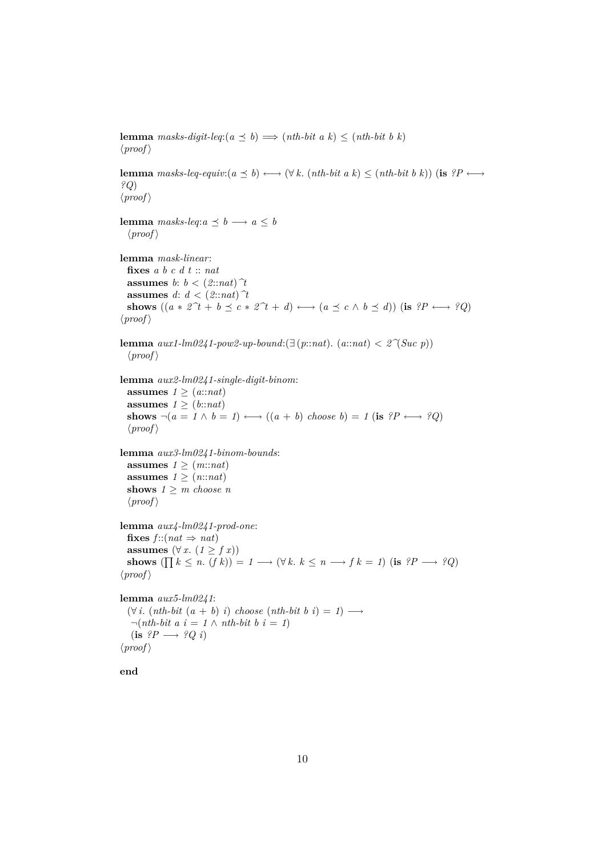**lemma** *masks-digit-leq*: $(a \preceq b) \Longrightarrow (nth\text{-}bit \ a \ k) \leq (nth\text{-}bit \ b \ k)$  $\langle proof \rangle$ **lemma**  ${masks \text{-} leg\text{-}equiv: (a \prec b) \longleftrightarrow (\forall k \cdot (nth\text{-}bit \ a \ k) \leq (nth\text{-}bit \ b \ k))$  (**is**  ${?P \longleftrightarrow}$ *?Q*)  $\langle proof \rangle$ **lemma** *masks-leq*: $a \prec b \rightarrow a \leq b$  $\langle proof \rangle$ **lemma** *mask-linear*: **fixes** *a b c d t* :: *nat* **assumes** *b*:  $b < (2::nat)^{T}$ **assumes** *d*:  $d < (2$ :*nat*)  $\hat{\tau}$ **shows**  $((a * 2^t + b \leq c * 2^t + d) \longleftrightarrow (a \leq c \land b \leq d))$  (**is**  $?P \longleftrightarrow ?Q$ )  $\langle proof \rangle$ **lemma**  $aux1$ -lm0241-pow2-up-bound:(∃ ( $p::nat$ ). ( $a::nat$ ) < 2 $\hat{\gamma}(Suc|p)$ )  $\langle proof \rangle$ **lemma** *aux2-lm0241-single-digit-binom*: **assumes**  $1 \geq (a::nat)$ **assumes**  $1 \geq (b$ ::*nat*) shows  $\neg(a = 1 \land b = 1) \longleftrightarrow ((a + b) \text{ choose } b) = 1 \text{ (is } ?P \longleftrightarrow ?Q)$  $\langle proof \rangle$ **lemma** *aux3-lm0241-binom-bounds*: **assumes**  $1 \geq (m::nat)$ **assumes**  $1 \geq (n::nat)$ **shows**  $1 \geq m$  *choose n*  $\langle proof \rangle$ **lemma** *aux4-lm0241-prod-one*: **fixes**  $f$  :: (nat  $\Rightarrow$  nat) **assumes**  $(\forall x. (1 \geq f x))$ **shows**  $(\prod k \leq n \cdot (f k)) = 1 \longrightarrow (\forall k \cdot k \leq n \longrightarrow f k = 1)$  (**is**  $?P \longrightarrow ?Q$ )  $\langle proof \rangle$ **lemma** *aux5-lm0241*:  $(\forall i. (nth-bit (a + b) i) choose (nth-bit b i) = 1) \longrightarrow$  $\neg(nth-bit \; a \; i = 1 \land nth-bit \; b \; i = 1)$  $(i\mathbf{s} \ \mathbf{?}P \longrightarrow \mathbf{?}Q \ i)$  $\langle proof \rangle$ 

**end**